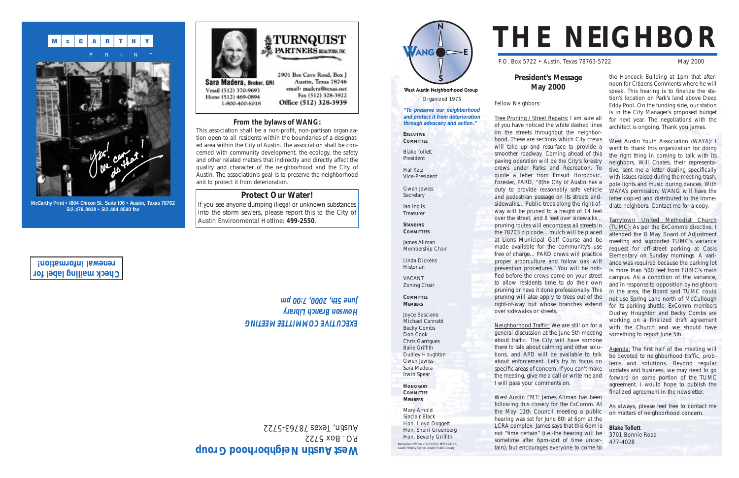West Austin Neighborhood Group Organized 1973 **"To preserve our neighborhood and protect it from deterioration through advocacy and action."**

President Hal Katz Vice-President Gwen Jewiss **Secretary** 

Ian Inglis **Treasurer** 

**EXECUTIVE COMMITTEE** Blake Tollett

 $\overline{ANG}$   $\rightarrow$  E

**STANDING**

**COMMITTEES**

James Allman

Membership Chair

Linda Dickens Historian VACANT Zoning Chair

**COMMITTEE MEMBERS**

Joyce Basciano Michael Cannatti Becky Combs Don Cook Chris Garrigues Balie Griffith Dudley Houghton Gwen Jewiss Sara Madera Irwin Spear **HONORARY COMMITTEE MEMBERS**

Mary Arnold Sinclair Black Hon. Lloyd Doggett Hon. Sherri Greenberg Hon. Beverly Griffith

# **THE NEIGHBOR**

P.O. Box 5722 • Austin, Texas 78763-5722 May 2000

## **President's Message May 2000**

Fellow Neighbors:

Tree Pruning / Street Repairs: I am sure all of you have noticed the white dashed lines on the streets throughout the neighborhood. These are sections which City crews will take up and resurface to provide a smoother roadway. Coming ahead of this paving operation will be the City's forestry crews under Parks and Recreation. To quote a letter from Emsud Horozovic, Forester, PARD, "(t)he City of Austin has a duty to provide reasonably safe vehicle and pedestrian passage on its streets andsidewalks... Public trees along the right-ofway will be pruned to a height of 14 feet over the street, and 8 feet over sidewalks... pruning routes will encompass all streets in the 78703 zip code... mulch will be placed at Lions Municipal Golf Course and be made available for the community's use free of charge... PARD crews will practice proper arborculture and follow oak wilt prevention procedures." You will be notified before the crews come on your street to allow residents time to do their own pruning or have it done professionally. This pruning will also apply to trees out of the right-of-way but whose branches extend over sidewalks or streets.

Neighborhood Traffic: We are still on for a general discussion at the June 5th meeting about traffic. The City will have somone there to talk about calming and other solutions, and APD will be available to talk about enforcement. Let's try to focus on specific areas of concern. If you can't make the meeting, give me a call or write me and I will pass your comments on.

West Austin EMT: James Allman has been following this closely for the ExComm. At the May 11th Council meeting a public hearing was set for June 8th at 6pm at the LCRA complex. James says that this 6pm is not "time certain" (i.e.-the hearing will be sometime after 6pm-sort of time uncertain), but encourages everyone to come to

If you see anyone dumping illegal or unknown substances into the storm sewers, please report this to the City of Austin Environmental Hotline: **499-2550**.

the Hancock Building at 1pm that afternoon for Citizens Comments where he will speak. This hearing is to finalize the station's location on Park's land above Deep Eddy Pool. On the funding side, our station is in the City Manager's proposed budget for next year. The negotiations with the architect is ongoing. Thank you James.

West Austin Youth Association (WAYA): I want to thank this organization for doing the right thing in coming to talk with its neighbors. Will Coates, their representative, sent me a letter dealing specifically with issues raised during the meeting-trash, pole lights and music during dances. With WAYA's permission, WANG will have the letter copied and distributed to the immediate neighbors. Contact me for a copy.

Tarrytown United Methodist Church (TUMC): As per the ExComm's directive, I attended the 8 May Board of Adjustment meeting and supported TUMC's variance request for off-street parking at Casis Elementary on Sunday mornings. A variance was required because the parking lot is more than 500 feet from TUMC's main campus. As a condition of the variance, and in response to opposition by neighbors in the area, the Board said TUMC could not use Spring Lane north of McCullough for its parking shuttle. ExComm members Dudley Houghton and Becky Combs are working on a finalized draft agreement with the Church and we should have something to report June 5th.

Agenda: The first half of the meeting will be devoted to neighborhood traffic, problems and solutions. Beyond regular updates and business, we may need to go forward on some portion of the TUMC agreement. I would hope to publish the finalized agreement in the newsletter.

As always, please feel free to contact me on matters of neighborhood concern.

**Blake Tollett** 3701 Bonnie Road 477-4028

## **From the bylaws of WANG:**

This association shall be a non-profit, non-partisan organization open to all residents within the boundaries of a designated area within the City of Austin. The association shall be concerned with community development, the ecology, the safety and other related matters that indirectly and directly affect the quality and character of the neighborhood and the City of Austin. The association's goal is to preserve the neighborhood and to protect it from deterioration.

## **Protect Our Water!**

Background Photo of Lime Kiln #PICA24140, Austin History Center, Austin Public Library





**McCarthy Print • I804 Chicon St. Suite I06 • Austin, Texas 78702 5I2.479.8938 • 5I2.494.8540 fax**

# West Austin Neighborhood Group

P.O. Box 5722 Austin, Texas 78763-5722

## EXECOLINE COWWILLEE WEELING **Howson Branch Library June 5th, 2000S** 7:00 pm

**Check mailing label for renewal information!**